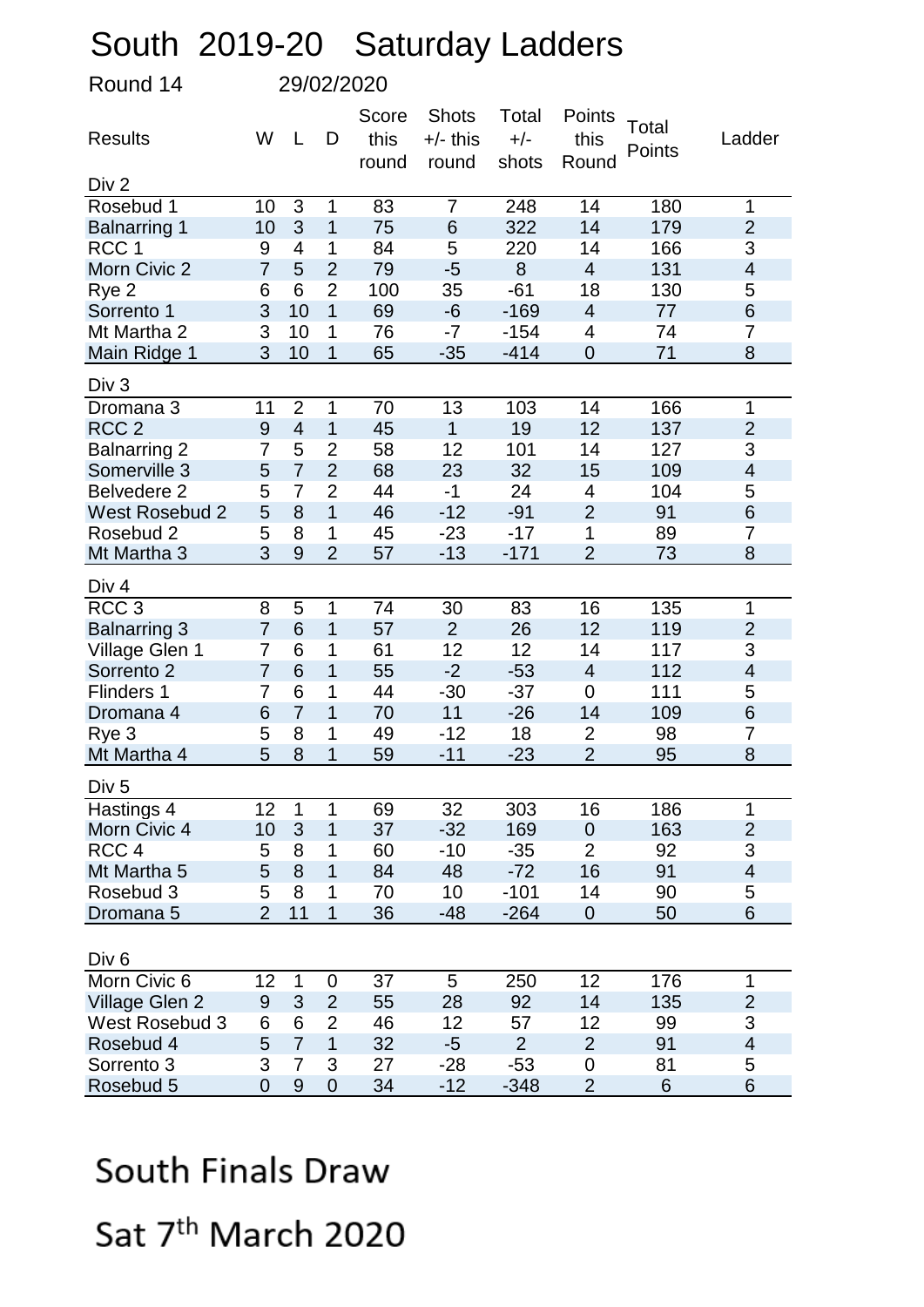## South 2019-20 Saturday Ladders

Round 14 29/02/2020

| Div 2<br>3<br>$\overline{7}$<br>14<br>180<br>Rosebud 1<br>10<br>1<br>83<br>248<br>$\mathbf{1}$<br>3<br>1<br>75<br>322<br>14<br>$\overline{2}$<br>10<br>6<br>179<br><b>Balnarring 1</b><br>3<br>RCC <sub>1</sub><br>$\mathbf 1$<br>84<br>5<br>220<br>14<br>166<br>9<br>4<br>131<br>$\overline{7}$<br>$\overline{2}$<br>79<br>$-5$<br>8<br>$\overline{4}$<br>$\overline{\mathbf{4}}$<br>Morn Civic 2<br>5<br>$\overline{2}$<br>6<br>100<br>18<br>6<br>35<br>$-61$<br>130<br>5<br>Rye 2<br>3<br>6<br>10<br>$\mathbf{1}$<br>69<br>$-169$<br>$\overline{4}$<br>77<br>Sorrento 1<br>-6<br>Mt Martha 2<br>3<br>10<br>1<br>76<br>$-154$<br>4<br>74<br>7<br>-7<br>3<br>$\mathbf 1$<br>65<br>71<br>8<br>Main Ridge 1<br>10<br>$-35$<br>$-414$<br>$\mathbf 0$<br>Div <sub>3</sub><br>$\overline{2}$<br>1<br>70<br>13<br>103<br>14<br>166<br>1<br>Dromana 3<br>11<br>RCC <sub>2</sub><br>$\mathbf{1}$<br>19<br>12<br>137<br>$\overline{2}$<br>$\boldsymbol{9}$<br>$\overline{4}$<br>1<br>45<br>3<br>5<br>$\overline{2}$<br>58<br>12<br>101<br>127<br><b>Balnarring 2</b><br>7<br>14<br>$\overline{2}$<br>$\overline{7}$<br>Somerville 3<br>68<br>32<br>15<br>109<br>$\overline{4}$<br>5<br>23<br>$\overline{2}$<br>104<br><b>Belvedere 2</b><br>5<br>$\overline{7}$<br>44<br>$-1$<br>24<br>5<br>4<br>$\overline{1}$<br>$-91$<br>$\overline{2}$<br>91<br>6<br>5<br>8<br>46<br>$-12$<br><b>West Rosebud 2</b><br>1<br>45<br>$-17$<br>89<br>$\overline{7}$<br>5<br>8<br>$-23$<br>1<br>Rosebud 2<br>3<br>9<br>$\overline{2}$<br>$\overline{2}$<br>8<br>Mt Martha 3<br>57<br>$-13$<br>$-171$<br>73<br>Div 4<br>RCC <sub>3</sub><br>$\overline{5}$<br>74<br>16<br>135<br>8<br>1<br>30<br>83<br>1<br>$6\phantom{1}6$<br><b>Balnarring 3</b><br>$\overline{7}$<br>$\mathbf 1$<br>12<br>119<br>$\overline{2}$<br>57<br>$\overline{2}$<br>26<br>3<br>61<br>12<br>12<br>117<br>Village Glen 1<br>6<br>1<br>14<br>$\overline{7}$<br>6<br>$\mathbf 1$<br>$-2$<br>$-53$<br>112<br>$\overline{7}$<br>55<br>$\overline{\mathbf{4}}$<br>Sorrento 2<br>$\overline{4}$<br>44<br>$-37$<br>111<br>5<br><b>Flinders 1</b><br>6<br>1<br>$-30$<br>$\overline{0}$<br>7<br>$\overline{7}$<br>1<br>70<br>11<br>$-26$<br>109<br>6<br>6<br>14<br>Dromana 4<br>Rye 3<br>5<br>1<br>49<br>$-12$<br>18<br>$\overline{2}$<br>98<br>8<br>7<br>5<br>$\overline{2}$<br>8<br>1<br>59<br>$-23$<br>95<br>8<br>Mt Martha 4<br>$-11$<br>Div <sub>5</sub><br>Hastings 4<br>12<br>1<br>69<br>32<br>303<br>16<br>186<br>1<br>1<br>3<br>$\overline{1}$<br>$\overline{2}$<br>10<br>37<br>163<br>Morn Civic 4<br>$-32$<br>169<br>$\mathbf 0$<br>$\overline{2}$<br>3<br>RCC <sub>4</sub><br>60<br>$-10$<br>$-35$<br>92<br>5<br>8<br>1<br>8<br>5<br>1<br>16<br>91<br>Mt Martha 5<br>84<br>48<br>$-72$<br>4<br>90<br>5<br>8<br>70<br>10<br>$-101$<br>14<br>5<br>Rosebud 3<br>1<br>$\overline{2}$<br>11<br>$\mathbf{1}$<br>36<br>50<br>6<br>$-48$<br>$-264$<br>$\mathbf 0$<br>Dromana 5<br>Div <sub>6</sub><br>Morn Civic 6<br>37<br>12<br>176<br>12<br>$\mathbf 1$<br>5<br>250<br>$\mathbf 1$<br>0<br>14<br>3<br>$\overline{2}$<br>92<br>Village Glen 2<br>55<br>28<br>135<br>$\overline{2}$<br>9<br>3<br><b>West Rosebud 3</b><br>$\overline{2}$<br>46<br>12<br>12<br>99<br>6<br>6<br>57<br>$\overline{7}$<br>$\overline{1}$<br>$\overline{2}$<br>91<br>5<br>32<br>$\overline{2}$<br>$-5$<br>$\overline{4}$<br>Rosebud 4<br>Sorrento 3<br>3<br>3<br>27<br>81<br>5<br>7<br>$-28$<br>$-53$<br>0 | <b>Results</b> | W              | L     | D           | Score<br>this | <b>Shots</b><br>$+/-$ this | Total<br>$+/-$ | Points<br>this | Total<br>Points | Ladder |
|---------------------------------------------------------------------------------------------------------------------------------------------------------------------------------------------------------------------------------------------------------------------------------------------------------------------------------------------------------------------------------------------------------------------------------------------------------------------------------------------------------------------------------------------------------------------------------------------------------------------------------------------------------------------------------------------------------------------------------------------------------------------------------------------------------------------------------------------------------------------------------------------------------------------------------------------------------------------------------------------------------------------------------------------------------------------------------------------------------------------------------------------------------------------------------------------------------------------------------------------------------------------------------------------------------------------------------------------------------------------------------------------------------------------------------------------------------------------------------------------------------------------------------------------------------------------------------------------------------------------------------------------------------------------------------------------------------------------------------------------------------------------------------------------------------------------------------------------------------------------------------------------------------------------------------------------------------------------------------------------------------------------------------------------------------------------------------------------------------------------------------------------------------------------------------------------------------------------------------------------------------------------------------------------------------------------------------------------------------------------------------------------------------------------------------------------------------------------------------------------------------------------------------------------------------------------------------------------------------------------------------------------------------------------------------------------------------------------------------------------------------------------------------------------------------------------------------------------------------------------------------------------------------------------------------------------------------------------------------------------------------------------------------------------------------------------------------------------------------------------------------------------------------------------------------------------------------------------------------------------------------------------------------------------------------------------------------------------------------------------------------------------------------------------------------|----------------|----------------|-------|-------------|---------------|----------------------------|----------------|----------------|-----------------|--------|
|                                                                                                                                                                                                                                                                                                                                                                                                                                                                                                                                                                                                                                                                                                                                                                                                                                                                                                                                                                                                                                                                                                                                                                                                                                                                                                                                                                                                                                                                                                                                                                                                                                                                                                                                                                                                                                                                                                                                                                                                                                                                                                                                                                                                                                                                                                                                                                                                                                                                                                                                                                                                                                                                                                                                                                                                                                                                                                                                                                                                                                                                                                                                                                                                                                                                                                                                                                                                                                 |                |                | round | round       | shots         | Round                      |                |                |                 |        |
|                                                                                                                                                                                                                                                                                                                                                                                                                                                                                                                                                                                                                                                                                                                                                                                                                                                                                                                                                                                                                                                                                                                                                                                                                                                                                                                                                                                                                                                                                                                                                                                                                                                                                                                                                                                                                                                                                                                                                                                                                                                                                                                                                                                                                                                                                                                                                                                                                                                                                                                                                                                                                                                                                                                                                                                                                                                                                                                                                                                                                                                                                                                                                                                                                                                                                                                                                                                                                                 |                |                |       |             |               |                            |                |                |                 |        |
|                                                                                                                                                                                                                                                                                                                                                                                                                                                                                                                                                                                                                                                                                                                                                                                                                                                                                                                                                                                                                                                                                                                                                                                                                                                                                                                                                                                                                                                                                                                                                                                                                                                                                                                                                                                                                                                                                                                                                                                                                                                                                                                                                                                                                                                                                                                                                                                                                                                                                                                                                                                                                                                                                                                                                                                                                                                                                                                                                                                                                                                                                                                                                                                                                                                                                                                                                                                                                                 |                |                |       |             |               |                            |                |                |                 |        |
|                                                                                                                                                                                                                                                                                                                                                                                                                                                                                                                                                                                                                                                                                                                                                                                                                                                                                                                                                                                                                                                                                                                                                                                                                                                                                                                                                                                                                                                                                                                                                                                                                                                                                                                                                                                                                                                                                                                                                                                                                                                                                                                                                                                                                                                                                                                                                                                                                                                                                                                                                                                                                                                                                                                                                                                                                                                                                                                                                                                                                                                                                                                                                                                                                                                                                                                                                                                                                                 |                |                |       |             |               |                            |                |                |                 |        |
|                                                                                                                                                                                                                                                                                                                                                                                                                                                                                                                                                                                                                                                                                                                                                                                                                                                                                                                                                                                                                                                                                                                                                                                                                                                                                                                                                                                                                                                                                                                                                                                                                                                                                                                                                                                                                                                                                                                                                                                                                                                                                                                                                                                                                                                                                                                                                                                                                                                                                                                                                                                                                                                                                                                                                                                                                                                                                                                                                                                                                                                                                                                                                                                                                                                                                                                                                                                                                                 |                |                |       |             |               |                            |                |                |                 |        |
|                                                                                                                                                                                                                                                                                                                                                                                                                                                                                                                                                                                                                                                                                                                                                                                                                                                                                                                                                                                                                                                                                                                                                                                                                                                                                                                                                                                                                                                                                                                                                                                                                                                                                                                                                                                                                                                                                                                                                                                                                                                                                                                                                                                                                                                                                                                                                                                                                                                                                                                                                                                                                                                                                                                                                                                                                                                                                                                                                                                                                                                                                                                                                                                                                                                                                                                                                                                                                                 |                |                |       |             |               |                            |                |                |                 |        |
|                                                                                                                                                                                                                                                                                                                                                                                                                                                                                                                                                                                                                                                                                                                                                                                                                                                                                                                                                                                                                                                                                                                                                                                                                                                                                                                                                                                                                                                                                                                                                                                                                                                                                                                                                                                                                                                                                                                                                                                                                                                                                                                                                                                                                                                                                                                                                                                                                                                                                                                                                                                                                                                                                                                                                                                                                                                                                                                                                                                                                                                                                                                                                                                                                                                                                                                                                                                                                                 |                |                |       |             |               |                            |                |                |                 |        |
|                                                                                                                                                                                                                                                                                                                                                                                                                                                                                                                                                                                                                                                                                                                                                                                                                                                                                                                                                                                                                                                                                                                                                                                                                                                                                                                                                                                                                                                                                                                                                                                                                                                                                                                                                                                                                                                                                                                                                                                                                                                                                                                                                                                                                                                                                                                                                                                                                                                                                                                                                                                                                                                                                                                                                                                                                                                                                                                                                                                                                                                                                                                                                                                                                                                                                                                                                                                                                                 |                |                |       |             |               |                            |                |                |                 |        |
|                                                                                                                                                                                                                                                                                                                                                                                                                                                                                                                                                                                                                                                                                                                                                                                                                                                                                                                                                                                                                                                                                                                                                                                                                                                                                                                                                                                                                                                                                                                                                                                                                                                                                                                                                                                                                                                                                                                                                                                                                                                                                                                                                                                                                                                                                                                                                                                                                                                                                                                                                                                                                                                                                                                                                                                                                                                                                                                                                                                                                                                                                                                                                                                                                                                                                                                                                                                                                                 |                |                |       |             |               |                            |                |                |                 |        |
|                                                                                                                                                                                                                                                                                                                                                                                                                                                                                                                                                                                                                                                                                                                                                                                                                                                                                                                                                                                                                                                                                                                                                                                                                                                                                                                                                                                                                                                                                                                                                                                                                                                                                                                                                                                                                                                                                                                                                                                                                                                                                                                                                                                                                                                                                                                                                                                                                                                                                                                                                                                                                                                                                                                                                                                                                                                                                                                                                                                                                                                                                                                                                                                                                                                                                                                                                                                                                                 |                |                |       |             |               |                            |                |                |                 |        |
|                                                                                                                                                                                                                                                                                                                                                                                                                                                                                                                                                                                                                                                                                                                                                                                                                                                                                                                                                                                                                                                                                                                                                                                                                                                                                                                                                                                                                                                                                                                                                                                                                                                                                                                                                                                                                                                                                                                                                                                                                                                                                                                                                                                                                                                                                                                                                                                                                                                                                                                                                                                                                                                                                                                                                                                                                                                                                                                                                                                                                                                                                                                                                                                                                                                                                                                                                                                                                                 |                |                |       |             |               |                            |                |                |                 |        |
|                                                                                                                                                                                                                                                                                                                                                                                                                                                                                                                                                                                                                                                                                                                                                                                                                                                                                                                                                                                                                                                                                                                                                                                                                                                                                                                                                                                                                                                                                                                                                                                                                                                                                                                                                                                                                                                                                                                                                                                                                                                                                                                                                                                                                                                                                                                                                                                                                                                                                                                                                                                                                                                                                                                                                                                                                                                                                                                                                                                                                                                                                                                                                                                                                                                                                                                                                                                                                                 |                |                |       |             |               |                            |                |                |                 |        |
|                                                                                                                                                                                                                                                                                                                                                                                                                                                                                                                                                                                                                                                                                                                                                                                                                                                                                                                                                                                                                                                                                                                                                                                                                                                                                                                                                                                                                                                                                                                                                                                                                                                                                                                                                                                                                                                                                                                                                                                                                                                                                                                                                                                                                                                                                                                                                                                                                                                                                                                                                                                                                                                                                                                                                                                                                                                                                                                                                                                                                                                                                                                                                                                                                                                                                                                                                                                                                                 |                |                |       |             |               |                            |                |                |                 |        |
|                                                                                                                                                                                                                                                                                                                                                                                                                                                                                                                                                                                                                                                                                                                                                                                                                                                                                                                                                                                                                                                                                                                                                                                                                                                                                                                                                                                                                                                                                                                                                                                                                                                                                                                                                                                                                                                                                                                                                                                                                                                                                                                                                                                                                                                                                                                                                                                                                                                                                                                                                                                                                                                                                                                                                                                                                                                                                                                                                                                                                                                                                                                                                                                                                                                                                                                                                                                                                                 |                |                |       |             |               |                            |                |                |                 |        |
|                                                                                                                                                                                                                                                                                                                                                                                                                                                                                                                                                                                                                                                                                                                                                                                                                                                                                                                                                                                                                                                                                                                                                                                                                                                                                                                                                                                                                                                                                                                                                                                                                                                                                                                                                                                                                                                                                                                                                                                                                                                                                                                                                                                                                                                                                                                                                                                                                                                                                                                                                                                                                                                                                                                                                                                                                                                                                                                                                                                                                                                                                                                                                                                                                                                                                                                                                                                                                                 |                |                |       |             |               |                            |                |                |                 |        |
|                                                                                                                                                                                                                                                                                                                                                                                                                                                                                                                                                                                                                                                                                                                                                                                                                                                                                                                                                                                                                                                                                                                                                                                                                                                                                                                                                                                                                                                                                                                                                                                                                                                                                                                                                                                                                                                                                                                                                                                                                                                                                                                                                                                                                                                                                                                                                                                                                                                                                                                                                                                                                                                                                                                                                                                                                                                                                                                                                                                                                                                                                                                                                                                                                                                                                                                                                                                                                                 |                |                |       |             |               |                            |                |                |                 |        |
|                                                                                                                                                                                                                                                                                                                                                                                                                                                                                                                                                                                                                                                                                                                                                                                                                                                                                                                                                                                                                                                                                                                                                                                                                                                                                                                                                                                                                                                                                                                                                                                                                                                                                                                                                                                                                                                                                                                                                                                                                                                                                                                                                                                                                                                                                                                                                                                                                                                                                                                                                                                                                                                                                                                                                                                                                                                                                                                                                                                                                                                                                                                                                                                                                                                                                                                                                                                                                                 |                |                |       |             |               |                            |                |                |                 |        |
|                                                                                                                                                                                                                                                                                                                                                                                                                                                                                                                                                                                                                                                                                                                                                                                                                                                                                                                                                                                                                                                                                                                                                                                                                                                                                                                                                                                                                                                                                                                                                                                                                                                                                                                                                                                                                                                                                                                                                                                                                                                                                                                                                                                                                                                                                                                                                                                                                                                                                                                                                                                                                                                                                                                                                                                                                                                                                                                                                                                                                                                                                                                                                                                                                                                                                                                                                                                                                                 |                |                |       |             |               |                            |                |                |                 |        |
|                                                                                                                                                                                                                                                                                                                                                                                                                                                                                                                                                                                                                                                                                                                                                                                                                                                                                                                                                                                                                                                                                                                                                                                                                                                                                                                                                                                                                                                                                                                                                                                                                                                                                                                                                                                                                                                                                                                                                                                                                                                                                                                                                                                                                                                                                                                                                                                                                                                                                                                                                                                                                                                                                                                                                                                                                                                                                                                                                                                                                                                                                                                                                                                                                                                                                                                                                                                                                                 |                |                |       |             |               |                            |                |                |                 |        |
|                                                                                                                                                                                                                                                                                                                                                                                                                                                                                                                                                                                                                                                                                                                                                                                                                                                                                                                                                                                                                                                                                                                                                                                                                                                                                                                                                                                                                                                                                                                                                                                                                                                                                                                                                                                                                                                                                                                                                                                                                                                                                                                                                                                                                                                                                                                                                                                                                                                                                                                                                                                                                                                                                                                                                                                                                                                                                                                                                                                                                                                                                                                                                                                                                                                                                                                                                                                                                                 |                |                |       |             |               |                            |                |                |                 |        |
|                                                                                                                                                                                                                                                                                                                                                                                                                                                                                                                                                                                                                                                                                                                                                                                                                                                                                                                                                                                                                                                                                                                                                                                                                                                                                                                                                                                                                                                                                                                                                                                                                                                                                                                                                                                                                                                                                                                                                                                                                                                                                                                                                                                                                                                                                                                                                                                                                                                                                                                                                                                                                                                                                                                                                                                                                                                                                                                                                                                                                                                                                                                                                                                                                                                                                                                                                                                                                                 |                |                |       |             |               |                            |                |                |                 |        |
|                                                                                                                                                                                                                                                                                                                                                                                                                                                                                                                                                                                                                                                                                                                                                                                                                                                                                                                                                                                                                                                                                                                                                                                                                                                                                                                                                                                                                                                                                                                                                                                                                                                                                                                                                                                                                                                                                                                                                                                                                                                                                                                                                                                                                                                                                                                                                                                                                                                                                                                                                                                                                                                                                                                                                                                                                                                                                                                                                                                                                                                                                                                                                                                                                                                                                                                                                                                                                                 |                |                |       |             |               |                            |                |                |                 |        |
|                                                                                                                                                                                                                                                                                                                                                                                                                                                                                                                                                                                                                                                                                                                                                                                                                                                                                                                                                                                                                                                                                                                                                                                                                                                                                                                                                                                                                                                                                                                                                                                                                                                                                                                                                                                                                                                                                                                                                                                                                                                                                                                                                                                                                                                                                                                                                                                                                                                                                                                                                                                                                                                                                                                                                                                                                                                                                                                                                                                                                                                                                                                                                                                                                                                                                                                                                                                                                                 |                |                |       |             |               |                            |                |                |                 |        |
|                                                                                                                                                                                                                                                                                                                                                                                                                                                                                                                                                                                                                                                                                                                                                                                                                                                                                                                                                                                                                                                                                                                                                                                                                                                                                                                                                                                                                                                                                                                                                                                                                                                                                                                                                                                                                                                                                                                                                                                                                                                                                                                                                                                                                                                                                                                                                                                                                                                                                                                                                                                                                                                                                                                                                                                                                                                                                                                                                                                                                                                                                                                                                                                                                                                                                                                                                                                                                                 |                |                |       |             |               |                            |                |                |                 |        |
|                                                                                                                                                                                                                                                                                                                                                                                                                                                                                                                                                                                                                                                                                                                                                                                                                                                                                                                                                                                                                                                                                                                                                                                                                                                                                                                                                                                                                                                                                                                                                                                                                                                                                                                                                                                                                                                                                                                                                                                                                                                                                                                                                                                                                                                                                                                                                                                                                                                                                                                                                                                                                                                                                                                                                                                                                                                                                                                                                                                                                                                                                                                                                                                                                                                                                                                                                                                                                                 |                |                |       |             |               |                            |                |                |                 |        |
|                                                                                                                                                                                                                                                                                                                                                                                                                                                                                                                                                                                                                                                                                                                                                                                                                                                                                                                                                                                                                                                                                                                                                                                                                                                                                                                                                                                                                                                                                                                                                                                                                                                                                                                                                                                                                                                                                                                                                                                                                                                                                                                                                                                                                                                                                                                                                                                                                                                                                                                                                                                                                                                                                                                                                                                                                                                                                                                                                                                                                                                                                                                                                                                                                                                                                                                                                                                                                                 |                |                |       |             |               |                            |                |                |                 |        |
|                                                                                                                                                                                                                                                                                                                                                                                                                                                                                                                                                                                                                                                                                                                                                                                                                                                                                                                                                                                                                                                                                                                                                                                                                                                                                                                                                                                                                                                                                                                                                                                                                                                                                                                                                                                                                                                                                                                                                                                                                                                                                                                                                                                                                                                                                                                                                                                                                                                                                                                                                                                                                                                                                                                                                                                                                                                                                                                                                                                                                                                                                                                                                                                                                                                                                                                                                                                                                                 |                |                |       |             |               |                            |                |                |                 |        |
|                                                                                                                                                                                                                                                                                                                                                                                                                                                                                                                                                                                                                                                                                                                                                                                                                                                                                                                                                                                                                                                                                                                                                                                                                                                                                                                                                                                                                                                                                                                                                                                                                                                                                                                                                                                                                                                                                                                                                                                                                                                                                                                                                                                                                                                                                                                                                                                                                                                                                                                                                                                                                                                                                                                                                                                                                                                                                                                                                                                                                                                                                                                                                                                                                                                                                                                                                                                                                                 |                |                |       |             |               |                            |                |                |                 |        |
|                                                                                                                                                                                                                                                                                                                                                                                                                                                                                                                                                                                                                                                                                                                                                                                                                                                                                                                                                                                                                                                                                                                                                                                                                                                                                                                                                                                                                                                                                                                                                                                                                                                                                                                                                                                                                                                                                                                                                                                                                                                                                                                                                                                                                                                                                                                                                                                                                                                                                                                                                                                                                                                                                                                                                                                                                                                                                                                                                                                                                                                                                                                                                                                                                                                                                                                                                                                                                                 |                |                |       |             |               |                            |                |                |                 |        |
|                                                                                                                                                                                                                                                                                                                                                                                                                                                                                                                                                                                                                                                                                                                                                                                                                                                                                                                                                                                                                                                                                                                                                                                                                                                                                                                                                                                                                                                                                                                                                                                                                                                                                                                                                                                                                                                                                                                                                                                                                                                                                                                                                                                                                                                                                                                                                                                                                                                                                                                                                                                                                                                                                                                                                                                                                                                                                                                                                                                                                                                                                                                                                                                                                                                                                                                                                                                                                                 |                |                |       |             |               |                            |                |                |                 |        |
|                                                                                                                                                                                                                                                                                                                                                                                                                                                                                                                                                                                                                                                                                                                                                                                                                                                                                                                                                                                                                                                                                                                                                                                                                                                                                                                                                                                                                                                                                                                                                                                                                                                                                                                                                                                                                                                                                                                                                                                                                                                                                                                                                                                                                                                                                                                                                                                                                                                                                                                                                                                                                                                                                                                                                                                                                                                                                                                                                                                                                                                                                                                                                                                                                                                                                                                                                                                                                                 |                |                |       |             |               |                            |                |                |                 |        |
|                                                                                                                                                                                                                                                                                                                                                                                                                                                                                                                                                                                                                                                                                                                                                                                                                                                                                                                                                                                                                                                                                                                                                                                                                                                                                                                                                                                                                                                                                                                                                                                                                                                                                                                                                                                                                                                                                                                                                                                                                                                                                                                                                                                                                                                                                                                                                                                                                                                                                                                                                                                                                                                                                                                                                                                                                                                                                                                                                                                                                                                                                                                                                                                                                                                                                                                                                                                                                                 |                |                |       |             |               |                            |                |                |                 |        |
|                                                                                                                                                                                                                                                                                                                                                                                                                                                                                                                                                                                                                                                                                                                                                                                                                                                                                                                                                                                                                                                                                                                                                                                                                                                                                                                                                                                                                                                                                                                                                                                                                                                                                                                                                                                                                                                                                                                                                                                                                                                                                                                                                                                                                                                                                                                                                                                                                                                                                                                                                                                                                                                                                                                                                                                                                                                                                                                                                                                                                                                                                                                                                                                                                                                                                                                                                                                                                                 |                |                |       |             |               |                            |                |                |                 |        |
|                                                                                                                                                                                                                                                                                                                                                                                                                                                                                                                                                                                                                                                                                                                                                                                                                                                                                                                                                                                                                                                                                                                                                                                                                                                                                                                                                                                                                                                                                                                                                                                                                                                                                                                                                                                                                                                                                                                                                                                                                                                                                                                                                                                                                                                                                                                                                                                                                                                                                                                                                                                                                                                                                                                                                                                                                                                                                                                                                                                                                                                                                                                                                                                                                                                                                                                                                                                                                                 |                |                |       |             |               |                            |                |                |                 |        |
|                                                                                                                                                                                                                                                                                                                                                                                                                                                                                                                                                                                                                                                                                                                                                                                                                                                                                                                                                                                                                                                                                                                                                                                                                                                                                                                                                                                                                                                                                                                                                                                                                                                                                                                                                                                                                                                                                                                                                                                                                                                                                                                                                                                                                                                                                                                                                                                                                                                                                                                                                                                                                                                                                                                                                                                                                                                                                                                                                                                                                                                                                                                                                                                                                                                                                                                                                                                                                                 |                |                |       |             |               |                            |                |                |                 |        |
|                                                                                                                                                                                                                                                                                                                                                                                                                                                                                                                                                                                                                                                                                                                                                                                                                                                                                                                                                                                                                                                                                                                                                                                                                                                                                                                                                                                                                                                                                                                                                                                                                                                                                                                                                                                                                                                                                                                                                                                                                                                                                                                                                                                                                                                                                                                                                                                                                                                                                                                                                                                                                                                                                                                                                                                                                                                                                                                                                                                                                                                                                                                                                                                                                                                                                                                                                                                                                                 |                |                |       |             |               |                            |                |                |                 |        |
|                                                                                                                                                                                                                                                                                                                                                                                                                                                                                                                                                                                                                                                                                                                                                                                                                                                                                                                                                                                                                                                                                                                                                                                                                                                                                                                                                                                                                                                                                                                                                                                                                                                                                                                                                                                                                                                                                                                                                                                                                                                                                                                                                                                                                                                                                                                                                                                                                                                                                                                                                                                                                                                                                                                                                                                                                                                                                                                                                                                                                                                                                                                                                                                                                                                                                                                                                                                                                                 |                |                |       |             |               |                            |                |                |                 |        |
|                                                                                                                                                                                                                                                                                                                                                                                                                                                                                                                                                                                                                                                                                                                                                                                                                                                                                                                                                                                                                                                                                                                                                                                                                                                                                                                                                                                                                                                                                                                                                                                                                                                                                                                                                                                                                                                                                                                                                                                                                                                                                                                                                                                                                                                                                                                                                                                                                                                                                                                                                                                                                                                                                                                                                                                                                                                                                                                                                                                                                                                                                                                                                                                                                                                                                                                                                                                                                                 |                |                |       |             |               |                            |                |                |                 |        |
|                                                                                                                                                                                                                                                                                                                                                                                                                                                                                                                                                                                                                                                                                                                                                                                                                                                                                                                                                                                                                                                                                                                                                                                                                                                                                                                                                                                                                                                                                                                                                                                                                                                                                                                                                                                                                                                                                                                                                                                                                                                                                                                                                                                                                                                                                                                                                                                                                                                                                                                                                                                                                                                                                                                                                                                                                                                                                                                                                                                                                                                                                                                                                                                                                                                                                                                                                                                                                                 |                |                |       |             |               |                            |                |                |                 |        |
|                                                                                                                                                                                                                                                                                                                                                                                                                                                                                                                                                                                                                                                                                                                                                                                                                                                                                                                                                                                                                                                                                                                                                                                                                                                                                                                                                                                                                                                                                                                                                                                                                                                                                                                                                                                                                                                                                                                                                                                                                                                                                                                                                                                                                                                                                                                                                                                                                                                                                                                                                                                                                                                                                                                                                                                                                                                                                                                                                                                                                                                                                                                                                                                                                                                                                                                                                                                                                                 |                |                |       |             |               |                            |                |                |                 |        |
|                                                                                                                                                                                                                                                                                                                                                                                                                                                                                                                                                                                                                                                                                                                                                                                                                                                                                                                                                                                                                                                                                                                                                                                                                                                                                                                                                                                                                                                                                                                                                                                                                                                                                                                                                                                                                                                                                                                                                                                                                                                                                                                                                                                                                                                                                                                                                                                                                                                                                                                                                                                                                                                                                                                                                                                                                                                                                                                                                                                                                                                                                                                                                                                                                                                                                                                                                                                                                                 | Rosebud 5      | $\overline{0}$ | 9     | $\mathbf 0$ | 34            | $-12$                      | $-348$         | $\overline{2}$ | 6               | 6      |

## South Finals Draw

Sat 7<sup>th</sup> March 2020